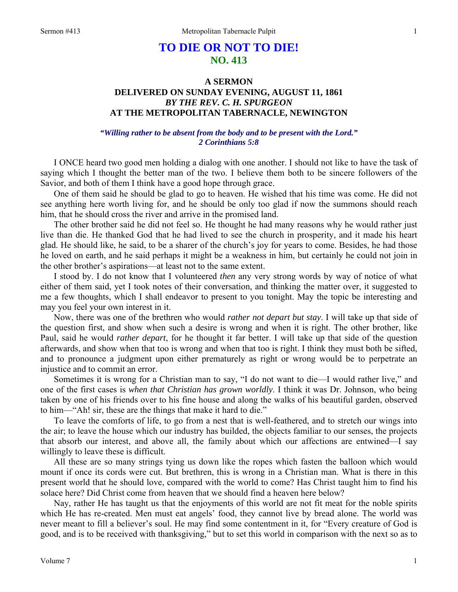# **TO DIE OR NOT TO DIE! NO. 413**

## **A SERMON DELIVERED ON SUNDAY EVENING, AUGUST 11, 1861**  *BY THE REV. C. H. SPURGEON*  **AT THE METROPOLITAN TABERNACLE, NEWINGTON**

### *"Willing rather to be absent from the body and to be present with the Lord." 2 Corinthians 5:8*

I ONCE heard two good men holding a dialog with one another. I should not like to have the task of saying which I thought the better man of the two. I believe them both to be sincere followers of the Savior, and both of them I think have a good hope through grace.

One of them said he should be glad to go to heaven. He wished that his time was come. He did not see anything here worth living for, and he should be only too glad if now the summons should reach him, that he should cross the river and arrive in the promised land.

The other brother said he did not feel so. He thought he had many reasons why he would rather just live than die. He thanked God that he had lived to see the church in prosperity, and it made his heart glad. He should like, he said, to be a sharer of the church's joy for years to come. Besides, he had those he loved on earth, and he said perhaps it might be a weakness in him, but certainly he could not join in the other brother's aspirations—at least not to the same extent.

I stood by. I do not know that I volunteered *then* any very strong words by way of notice of what either of them said, yet I took notes of their conversation, and thinking the matter over, it suggested to me a few thoughts, which I shall endeavor to present to you tonight. May the topic be interesting and may you feel your own interest in it.

Now, there was one of the brethren who would *rather not depart but stay*. I will take up that side of the question first, and show when such a desire is wrong and when it is right. The other brother, like Paul, said he would *rather depart*, for he thought it far better. I will take up that side of the question afterwards, and show when that too is wrong and when that too is right. I think they must both be sifted, and to pronounce a judgment upon either prematurely as right or wrong would be to perpetrate an injustice and to commit an error.

Sometimes it is wrong for a Christian man to say, "I do not want to die—I would rather live," and one of the first cases is *when that Christian has grown worldly*. I think it was Dr. Johnson, who being taken by one of his friends over to his fine house and along the walks of his beautiful garden, observed to him—"Ah! sir, these are the things that make it hard to die."

To leave the comforts of life, to go from a nest that is well-feathered, and to stretch our wings into the air; to leave the house which our industry has builded, the objects familiar to our senses, the projects that absorb our interest, and above all, the family about which our affections are entwined—I say willingly to leave these is difficult.

All these are so many strings tying us down like the ropes which fasten the balloon which would mount if once its cords were cut. But brethren, this is wrong in a Christian man. What is there in this present world that he should love, compared with the world to come? Has Christ taught him to find his solace here? Did Christ come from heaven that we should find a heaven here below?

Nay, rather He has taught us that the enjoyments of this world are not fit meat for the noble spirits which He has re-created. Men must eat angels' food, they cannot live by bread alone. The world was never meant to fill a believer's soul. He may find some contentment in it, for "Every creature of God is good, and is to be received with thanksgiving," but to set this world in comparison with the next so as to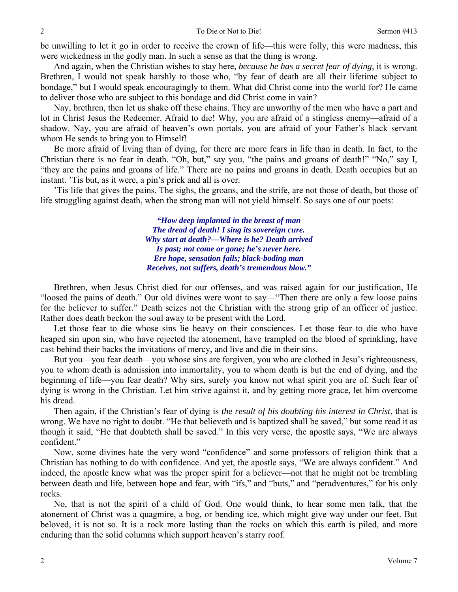be unwilling to let it go in order to receive the crown of life—this were folly, this were madness, this were wickedness in the godly man. In such a sense as that the thing is wrong.

And again, when the Christian wishes to stay here, *because he has a secret fear of dying*, it is wrong. Brethren, I would not speak harshly to those who, "by fear of death are all their lifetime subject to bondage," but I would speak encouragingly to them. What did Christ come into the world for? He came to deliver those who are subject to this bondage and did Christ come in vain?

Nay, brethren, then let us shake off these chains. They are unworthy of the men who have a part and lot in Christ Jesus the Redeemer. Afraid to die! Why, you are afraid of a stingless enemy—afraid of a shadow. Nay, you are afraid of heaven's own portals, you are afraid of your Father's black servant whom He sends to bring you to Himself!

Be more afraid of living than of dying, for there are more fears in life than in death. In fact, to the Christian there is no fear in death. "Oh, but," say you, "the pains and groans of death!" "No," say I, "they are the pains and groans of life." There are no pains and groans in death. Death occupies but an instant. 'Tis but, as it were, a pin's prick and all is over.

'Tis life that gives the pains. The sighs, the groans, and the strife, are not those of death, but those of life struggling against death, when the strong man will not yield himself. So says one of our poets:

> *"How deep implanted in the breast of man The dread of death! I sing its sovereign cure. Why start at death?—Where is he? Death arrived Is past; not come or gone; he's never here. Ere hope, sensation fails; black-boding man Receives, not suffers, death's tremendous blow."*

Brethren, when Jesus Christ died for our offenses, and was raised again for our justification, He "loosed the pains of death." Our old divines were wont to say—"Then there are only a few loose pains for the believer to suffer." Death seizes not the Christian with the strong grip of an officer of justice. Rather does death beckon the soul away to be present with the Lord.

Let those fear to die whose sins lie heavy on their consciences. Let those fear to die who have heaped sin upon sin, who have rejected the atonement, have trampled on the blood of sprinkling, have cast behind their backs the invitations of mercy, and live and die in their sins.

But you—you fear death—you whose sins are forgiven, you who are clothed in Jesu's righteousness, you to whom death is admission into immortality, you to whom death is but the end of dying, and the beginning of life—you fear death? Why sirs, surely you know not what spirit you are of. Such fear of dying is wrong in the Christian. Let him strive against it, and by getting more grace, let him overcome his dread.

Then again, if the Christian's fear of dying is *the result of his doubting his interest in Christ*, that is wrong. We have no right to doubt. "He that believeth and is baptized shall be saved," but some read it as though it said, "He that doubteth shall be saved." In this very verse, the apostle says, "We are always confident."

Now, some divines hate the very word "confidence" and some professors of religion think that a Christian has nothing to do with confidence. And yet, the apostle says, "We are always confident." And indeed, the apostle knew what was the proper spirit for a believer—not that he might not be trembling between death and life, between hope and fear, with "ifs," and "buts," and "peradventures," for his only rocks.

No, that is not the spirit of a child of God. One would think, to hear some men talk, that the atonement of Christ was a quagmire, a bog, or bending ice, which might give way under our feet. But beloved, it is not so. It is a rock more lasting than the rocks on which this earth is piled, and more enduring than the solid columns which support heaven's starry roof.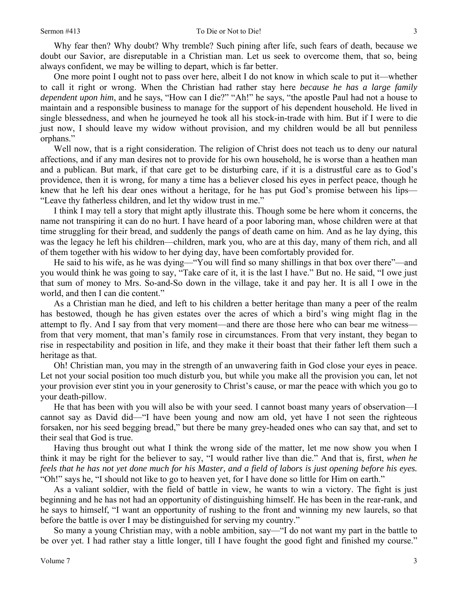Why fear then? Why doubt? Why tremble? Such pining after life, such fears of death, because we doubt our Savior, are disreputable in a Christian man. Let us seek to overcome them, that so, being always confident, we may be willing to depart, which is far better.

One more point I ought not to pass over here, albeit I do not know in which scale to put it—whether to call it right or wrong. When the Christian had rather stay here *because he has a large family dependent upon him*, and he says, "How can I die?" "Ah!" he says, "the apostle Paul had not a house to maintain and a responsible business to manage for the support of his dependent household. He lived in single blessedness, and when he journeyed he took all his stock-in-trade with him. But if I were to die just now, I should leave my widow without provision, and my children would be all but penniless orphans."

Well now, that is a right consideration. The religion of Christ does not teach us to deny our natural affections, and if any man desires not to provide for his own household, he is worse than a heathen man and a publican. But mark, if that care get to be disturbing care, if it is a distrustful care as to God's providence, then it is wrong, for many a time has a believer closed his eyes in perfect peace, though he knew that he left his dear ones without a heritage, for he has put God's promise between his lips— "Leave thy fatherless children, and let thy widow trust in me."

I think I may tell a story that might aptly illustrate this. Though some be here whom it concerns, the name not transpiring it can do no hurt. I have heard of a poor laboring man, whose children were at that time struggling for their bread, and suddenly the pangs of death came on him. And as he lay dying, this was the legacy he left his children—children, mark you, who are at this day, many of them rich, and all of them together with his widow to her dying day, have been comfortably provided for.

He said to his wife, as he was dying—"You will find so many shillings in that box over there"—and you would think he was going to say, "Take care of it, it is the last I have." But no. He said, "I owe just that sum of money to Mrs. So-and-So down in the village, take it and pay her. It is all I owe in the world, and then I can die content."

As a Christian man he died, and left to his children a better heritage than many a peer of the realm has bestowed, though he has given estates over the acres of which a bird's wing might flag in the attempt to fly. And I say from that very moment—and there are those here who can bear me witness from that very moment, that man's family rose in circumstances. From that very instant, they began to rise in respectability and position in life, and they make it their boast that their father left them such a heritage as that.

Oh! Christian man, you may in the strength of an unwavering faith in God close your eyes in peace. Let not your social position too much disturb you, but while you make all the provision you can, let not your provision ever stint you in your generosity to Christ's cause, or mar the peace with which you go to your death-pillow.

He that has been with you will also be with your seed. I cannot boast many years of observation—I cannot say as David did—"I have been young and now am old, yet have I not seen the righteous forsaken, nor his seed begging bread," but there be many grey-headed ones who can say that, and set to their seal that God is true.

Having thus brought out what I think the wrong side of the matter, let me now show you when I think it may be right for the believer to say, "I would rather live than die." And that is, first, *when he feels that he has not yet done much for his Master, and a field of labors is just opening before his eyes.*  "Oh!" says he, "I should not like to go to heaven yet, for I have done so little for Him on earth."

As a valiant soldier, with the field of battle in view, he wants to win a victory. The fight is just beginning and he has not had an opportunity of distinguishing himself. He has been in the rear-rank, and he says to himself, "I want an opportunity of rushing to the front and winning my new laurels, so that before the battle is over I may be distinguished for serving my country."

So many a young Christian may, with a noble ambition, say—"I do not want my part in the battle to be over yet. I had rather stay a little longer, till I have fought the good fight and finished my course."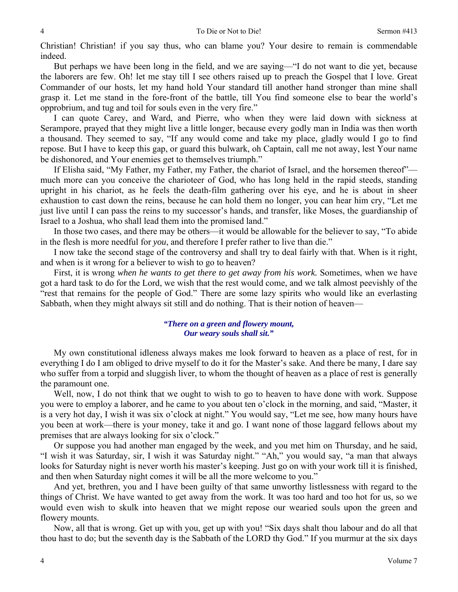Christian! Christian! if you say thus, who can blame you? Your desire to remain is commendable indeed.

But perhaps we have been long in the field, and we are saying—"I do not want to die yet, because the laborers are few. Oh! let me stay till I see others raised up to preach the Gospel that I love. Great Commander of our hosts, let my hand hold Your standard till another hand stronger than mine shall grasp it. Let me stand in the fore-front of the battle, till You find someone else to bear the world's opprobrium, and tug and toil for souls even in the very fire."

I can quote Carey, and Ward, and Pierre, who when they were laid down with sickness at Serampore, prayed that they might live a little longer, because every godly man in India was then worth a thousand. They seemed to say, "If any would come and take my place, gladly would I go to find repose. But I have to keep this gap, or guard this bulwark, oh Captain, call me not away, lest Your name be dishonored, and Your enemies get to themselves triumph."

If Elisha said, "My Father, my Father, my Father, the chariot of Israel, and the horsemen thereof" much more can you conceive the charioteer of God, who has long held in the rapid steeds, standing upright in his chariot, as he feels the death-film gathering over his eye, and he is about in sheer exhaustion to cast down the reins, because he can hold them no longer, you can hear him cry, "Let me just live until I can pass the reins to my successor's hands, and transfer, like Moses, the guardianship of Israel to a Joshua, who shall lead them into the promised land."

In those two cases, and there may be others—it would be allowable for the believer to say, "To abide in the flesh is more needful for *you*, and therefore I prefer rather to live than die."

I now take the second stage of the controversy and shall try to deal fairly with that. When is it right, and when is it wrong for a believer to wish to go to heaven?

First, it is wrong *when he wants to get there to get away from his work*. Sometimes, when we have got a hard task to do for the Lord, we wish that the rest would come, and we talk almost peevishly of the "rest that remains for the people of God." There are some lazy spirits who would like an everlasting Sabbath, when they might always sit still and do nothing. That is their notion of heaven—

#### *"There on a green and flowery mount, Our weary souls shall sit."*

My own constitutional idleness always makes me look forward to heaven as a place of rest, for in everything I do I am obliged to drive myself to do it for the Master's sake. And there be many, I dare say who suffer from a torpid and sluggish liver, to whom the thought of heaven as a place of rest is generally the paramount one.

Well, now, I do not think that we ought to wish to go to heaven to have done with work. Suppose you were to employ a laborer, and he came to you about ten o'clock in the morning, and said, "Master, it is a very hot day, I wish it was six o'clock at night." You would say, "Let me see, how many hours have you been at work—there is your money, take it and go. I want none of those laggard fellows about my premises that are always looking for six o'clock."

Or suppose you had another man engaged by the week, and you met him on Thursday, and he said, "I wish it was Saturday, sir, I wish it was Saturday night." "Ah," you would say, "a man that always looks for Saturday night is never worth his master's keeping. Just go on with your work till it is finished, and then when Saturday night comes it will be all the more welcome to you."

And yet, brethren, you and I have been guilty of that same unworthy listlessness with regard to the things of Christ. We have wanted to get away from the work. It was too hard and too hot for us, so we would even wish to skulk into heaven that we might repose our wearied souls upon the green and flowery mounts.

Now, all that is wrong. Get up with you, get up with you! "Six days shalt thou labour and do all that thou hast to do; but the seventh day is the Sabbath of the LORD thy God." If you murmur at the six days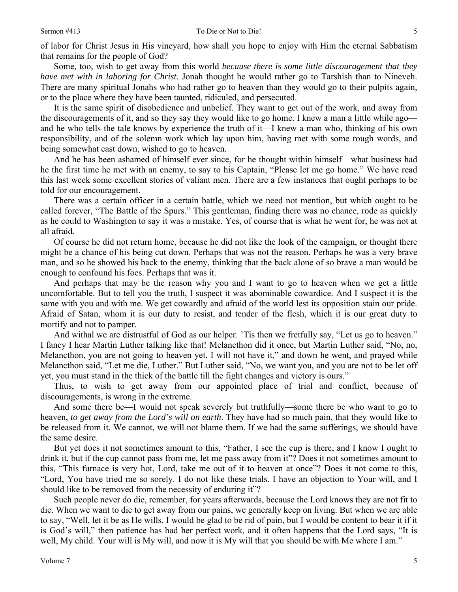of labor for Christ Jesus in His vineyard, how shall you hope to enjoy with Him the eternal Sabbatism that remains for the people of God?

Some, too, wish to get away from this world *because there is some little discouragement that they have met with in laboring for Christ*. Jonah thought he would rather go to Tarshish than to Nineveh. There are many spiritual Jonahs who had rather go to heaven than they would go to their pulpits again, or to the place where they have been taunted, ridiculed, and persecuted.

It is the same spirit of disobedience and unbelief. They want to get out of the work, and away from the discouragements of it, and so they say they would like to go home. I knew a man a little while ago and he who tells the tale knows by experience the truth of it—I knew a man who, thinking of his own responsibility, and of the solemn work which lay upon him, having met with some rough words, and being somewhat cast down, wished to go to heaven.

And he has been ashamed of himself ever since, for he thought within himself—what business had he the first time he met with an enemy, to say to his Captain, "Please let me go home." We have read this last week some excellent stories of valiant men. There are a few instances that ought perhaps to be told for our encouragement.

There was a certain officer in a certain battle, which we need not mention, but which ought to be called forever, "The Battle of the Spurs." This gentleman, finding there was no chance, rode as quickly as he could to Washington to say it was a mistake. Yes, of course that is what he went for, he was not at all afraid.

Of course he did not return home, because he did not like the look of the campaign, or thought there might be a chance of his being cut down. Perhaps that was not the reason. Perhaps he was a very brave man, and so he showed his back to the enemy, thinking that the back alone of so brave a man would be enough to confound his foes. Perhaps that was it.

And perhaps that may be the reason why you and I want to go to heaven when we get a little uncomfortable. But to tell you the truth, I suspect it was abominable cowardice. And I suspect it is the same with you and with me. We get cowardly and afraid of the world lest its opposition stain our pride. Afraid of Satan, whom it is our duty to resist, and tender of the flesh, which it is our great duty to mortify and not to pamper.

And withal we are distrustful of God as our helper. 'Tis then we fretfully say, "Let us go to heaven." I fancy I hear Martin Luther talking like that! Melancthon did it once, but Martin Luther said, "No, no, Melancthon, you are not going to heaven yet. I will not have it," and down he went, and prayed while Melancthon said, "Let me die, Luther." But Luther said, "No, we want you, and you are not to be let off yet, you must stand in the thick of the battle till the fight changes and victory is ours."

Thus, to wish to get away from our appointed place of trial and conflict, because of discouragements, is wrong in the extreme.

And some there be—I would not speak severely but truthfully—some there be who want to go to heaven, *to get away from the Lord's will on earth*. They have had so much pain, that they would like to be released from it. We cannot, we will not blame them. If we had the same sufferings, we should have the same desire.

But yet does it not sometimes amount to this, "Father, I see the cup is there, and I know I ought to drink it, but if the cup cannot pass from me, let me pass away from it"? Does it not sometimes amount to this, "This furnace is very hot, Lord, take me out of it to heaven at once"? Does it not come to this, "Lord, You have tried me so sorely. I do not like these trials. I have an objection to Your will, and I should like to be removed from the necessity of enduring it"?

Such people never do die, remember, for years afterwards, because the Lord knows they are not fit to die. When we want to die to get away from our pains, we generally keep on living. But when we are able to say, "Well, let it be as He wills. I would be glad to be rid of pain, but I would be content to bear it if it is God's will," then patience has had her perfect work, and it often happens that the Lord says, "It is well, My child. Your will is My will, and now it is My will that you should be with Me where I am."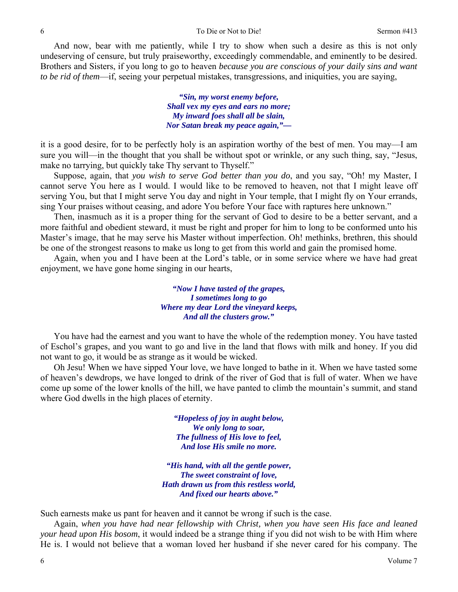And now, bear with me patiently, while I try to show when such a desire as this is not only undeserving of censure, but truly praiseworthy, exceedingly commendable, and eminently to be desired. Brothers and Sisters, if you long to go to heaven *because you are conscious of your daily sins and want to be rid of them*—if, seeing your perpetual mistakes, transgressions, and iniquities, you are saying,

> *"Sin, my worst enemy before, Shall vex my eyes and ears no more; My inward foes shall all be slain, Nor Satan break my peace again,"—*

it is a good desire, for to be perfectly holy is an aspiration worthy of the best of men. You may—I am sure you will—in the thought that you shall be without spot or wrinkle, or any such thing, say, "Jesus, make no tarrying, but quickly take Thy servant to Thyself."

Suppose, again, that *you wish to serve God better than you do*, and you say, "Oh! my Master, I cannot serve You here as I would. I would like to be removed to heaven, not that I might leave off serving You, but that I might serve You day and night in Your temple, that I might fly on Your errands, sing Your praises without ceasing, and adore You before Your face with raptures here unknown."

Then, inasmuch as it is a proper thing for the servant of God to desire to be a better servant, and a more faithful and obedient steward, it must be right and proper for him to long to be conformed unto his Master's image, that he may serve his Master without imperfection. Oh! methinks, brethren, this should be one of the strongest reasons to make us long to get from this world and gain the promised home.

Again, when you and I have been at the Lord's table, or in some service where we have had great enjoyment, we have gone home singing in our hearts,

> *"Now I have tasted of the grapes, I sometimes long to go Where my dear Lord the vineyard keeps, And all the clusters grow."*

You have had the earnest and you want to have the whole of the redemption money. You have tasted of Eschol's grapes, and you want to go and live in the land that flows with milk and honey. If you did not want to go, it would be as strange as it would be wicked.

Oh Jesu! When we have sipped Your love, we have longed to bathe in it. When we have tasted some of heaven's dewdrops, we have longed to drink of the river of God that is full of water. When we have come up some of the lower knolls of the hill, we have panted to climb the mountain's summit, and stand where God dwells in the high places of eternity.

> *"Hopeless of joy in aught below, We only long to soar, The fullness of His love to feel, And lose His smile no more.*

*"His hand, with all the gentle power, The sweet constraint of love, Hath drawn us from this restless world, And fixed our hearts above."* 

Such earnests make us pant for heaven and it cannot be wrong if such is the case.

Again, *when you have had near fellowship with Christ, when you have seen His face and leaned your head upon His bosom*, it would indeed be a strange thing if you did not wish to be with Him where He is. I would not believe that a woman loved her husband if she never cared for his company. The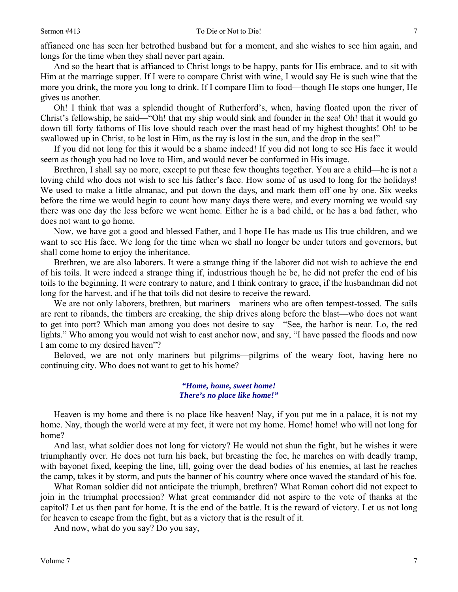affianced one has seen her betrothed husband but for a moment, and she wishes to see him again, and longs for the time when they shall never part again.

And so the heart that is affianced to Christ longs to be happy, pants for His embrace, and to sit with Him at the marriage supper. If I were to compare Christ with wine, I would say He is such wine that the more you drink, the more you long to drink. If I compare Him to food—though He stops one hunger, He gives us another.

Oh! I think that was a splendid thought of Rutherford's, when, having floated upon the river of Christ's fellowship, he said—"Oh! that my ship would sink and founder in the sea! Oh! that it would go down till forty fathoms of His love should reach over the mast head of my highest thoughts! Oh! to be swallowed up in Christ, to be lost in Him, as the ray is lost in the sun, and the drop in the sea!"

If you did not long for this it would be a shame indeed! If you did not long to see His face it would seem as though you had no love to Him, and would never be conformed in His image.

Brethren, I shall say no more, except to put these few thoughts together. You are a child—he is not a loving child who does not wish to see his father's face. How some of us used to long for the holidays! We used to make a little almanac, and put down the days, and mark them off one by one. Six weeks before the time we would begin to count how many days there were, and every morning we would say there was one day the less before we went home. Either he is a bad child, or he has a bad father, who does not want to go home.

Now, we have got a good and blessed Father, and I hope He has made us His true children, and we want to see His face. We long for the time when we shall no longer be under tutors and governors, but shall come home to enjoy the inheritance.

Brethren, we are also laborers. It were a strange thing if the laborer did not wish to achieve the end of his toils. It were indeed a strange thing if, industrious though he be, he did not prefer the end of his toils to the beginning. It were contrary to nature, and I think contrary to grace, if the husbandman did not long for the harvest, and if he that toils did not desire to receive the reward.

We are not only laborers, brethren, but mariners—mariners who are often tempest-tossed. The sails are rent to ribands, the timbers are creaking, the ship drives along before the blast—who does not want to get into port? Which man among you does not desire to say—"See, the harbor is near. Lo, the red lights." Who among you would not wish to cast anchor now, and say, "I have passed the floods and now I am come to my desired haven"?

Beloved, we are not only mariners but pilgrims—pilgrims of the weary foot, having here no continuing city. Who does not want to get to his home?

> *"Home, home, sweet home! There's no place like home!"*

Heaven is my home and there is no place like heaven! Nay, if you put me in a palace, it is not my home. Nay, though the world were at my feet, it were not my home. Home! home! who will not long for home?

And last, what soldier does not long for victory? He would not shun the fight, but he wishes it were triumphantly over. He does not turn his back, but breasting the foe, he marches on with deadly tramp, with bayonet fixed, keeping the line, till, going over the dead bodies of his enemies, at last he reaches the camp, takes it by storm, and puts the banner of his country where once waved the standard of his foe.

What Roman soldier did not anticipate the triumph, brethren? What Roman cohort did not expect to join in the triumphal procession? What great commander did not aspire to the vote of thanks at the capitol? Let us then pant for home. It is the end of the battle. It is the reward of victory. Let us not long for heaven to escape from the fight, but as a victory that is the result of it.

And now, what do you say? Do you say,